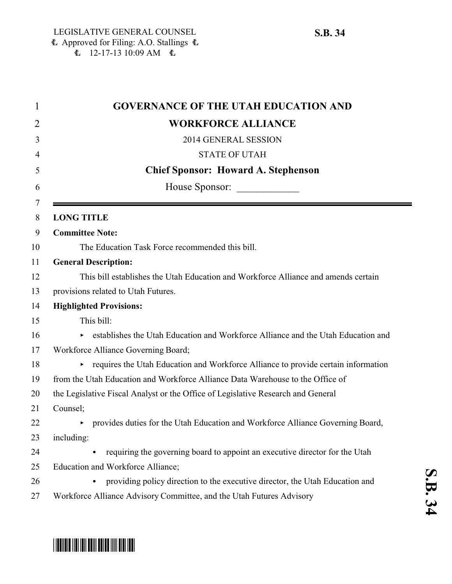| $\mathbf 1$ | <b>GOVERNANCE OF THE UTAH EDUCATION AND</b>                                                               |
|-------------|-----------------------------------------------------------------------------------------------------------|
| 2           | <b>WORKFORCE ALLIANCE</b>                                                                                 |
| 3           | 2014 GENERAL SESSION                                                                                      |
| 4           | <b>STATE OF UTAH</b>                                                                                      |
| 5           | <b>Chief Sponsor: Howard A. Stephenson</b>                                                                |
| 6           | House Sponsor:                                                                                            |
| 7<br>8      | <b>LONG TITLE</b>                                                                                         |
| 9           | <b>Committee Note:</b>                                                                                    |
| 10          | The Education Task Force recommended this bill.                                                           |
| 11          | <b>General Description:</b>                                                                               |
| 12          | This bill establishes the Utah Education and Workforce Alliance and amends certain                        |
| 13          | provisions related to Utah Futures.                                                                       |
| 14          | <b>Highlighted Provisions:</b>                                                                            |
| 15          | This bill:                                                                                                |
| 16          | establishes the Utah Education and Workforce Alliance and the Utah Education and<br>$\blacktriangleright$ |
| 17          | Workforce Alliance Governing Board;                                                                       |
| 18          | • requires the Utah Education and Workforce Alliance to provide certain information                       |
| 19          | from the Utah Education and Workforce Alliance Data Warehouse to the Office of                            |
| 20          | the Legislative Fiscal Analyst or the Office of Legislative Research and General                          |
| 21          | Counsel;                                                                                                  |
| 22          | provides duties for the Utah Education and Workforce Alliance Governing Board,                            |
| 23          | including:                                                                                                |
| 24          | requiring the governing board to appoint an executive director for the Utah                               |
| 25          | Education and Workforce Alliance;                                                                         |
| 26          | providing policy direction to the executive director, the Utah Education and                              |
| 27          | Workforce Alliance Advisory Committee, and the Utah Futures Advisory                                      |

# \*SB0034\*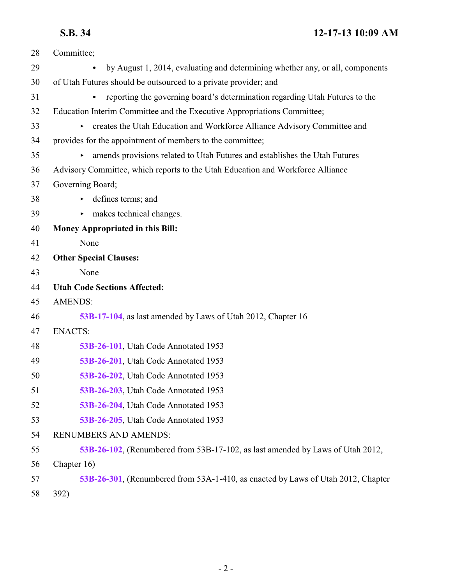| 28 | Committee;                                                                               |
|----|------------------------------------------------------------------------------------------|
| 29 | by August 1, 2014, evaluating and determining whether any, or all, components            |
| 30 | of Utah Futures should be outsourced to a private provider; and                          |
| 31 | reporting the governing board's determination regarding Utah Futures to the<br>$\bullet$ |
| 32 | Education Interim Committee and the Executive Appropriations Committee;                  |
| 33 | creates the Utah Education and Workforce Alliance Advisory Committee and                 |
| 34 | provides for the appointment of members to the committee;                                |
| 35 | • amends provisions related to Utah Futures and establishes the Utah Futures             |
| 36 | Advisory Committee, which reports to the Utah Education and Workforce Alliance           |
| 37 | Governing Board;                                                                         |
| 38 | defines terms; and                                                                       |
| 39 | makes technical changes.<br>►                                                            |
| 40 | <b>Money Appropriated in this Bill:</b>                                                  |
| 41 | None                                                                                     |
| 42 | <b>Other Special Clauses:</b>                                                            |
| 43 | None                                                                                     |
| 44 | <b>Utah Code Sections Affected:</b>                                                      |
| 45 | <b>AMENDS:</b>                                                                           |
| 46 | 53B-17-104, as last amended by Laws of Utah 2012, Chapter 16                             |
| 47 | <b>ENACTS:</b>                                                                           |
| 48 | 53B-26-101, Utah Code Annotated 1953                                                     |
| 49 | 53B-26-201, Utah Code Annotated 1953                                                     |
| 50 | 53B-26-202, Utah Code Annotated 1953                                                     |
| 51 | 53B-26-203, Utah Code Annotated 1953                                                     |
| 52 | 53B-26-204, Utah Code Annotated 1953                                                     |
| 53 | 53B-26-205, Utah Code Annotated 1953                                                     |
| 54 | <b>RENUMBERS AND AMENDS:</b>                                                             |
| 55 | 53B-26-102, (Renumbered from 53B-17-102, as last amended by Laws of Utah 2012,           |
| 56 | Chapter 16)                                                                              |
| 57 | 53B-26-301, (Renumbered from 53A-1-410, as enacted by Laws of Utah 2012, Chapter         |
| 58 | 392)                                                                                     |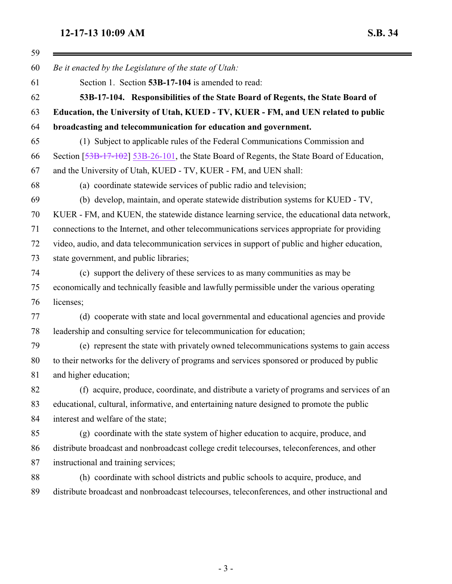## <span id="page-2-0"></span>**12-17-13 10:09 AM**

| 5.D. | ı |  | 1 |
|------|---|--|---|
|------|---|--|---|

Ξ

| Be it enacted by the Legislature of the state of Utah:                                          |
|-------------------------------------------------------------------------------------------------|
| Section 1. Section 53B-17-104 is amended to read:                                               |
| 53B-17-104. Responsibilities of the State Board of Regents, the State Board of                  |
| Education, the University of Utah, KUED - TV, KUER - FM, and UEN related to public              |
| broadcasting and telecommunication for education and government.                                |
| (1) Subject to applicable rules of the Federal Communications Commission and                    |
| Section [53B-17-102] 53B-26-101, the State Board of Regents, the State Board of Education,      |
| and the University of Utah, KUED - TV, KUER - FM, and UEN shall:                                |
| (a) coordinate statewide services of public radio and television;                               |
| (b) develop, maintain, and operate statewide distribution systems for KUED - TV,                |
| KUER - FM, and KUEN, the statewide distance learning service, the educational data network,     |
| connections to the Internet, and other telecommunications services appropriate for providing    |
| video, audio, and data telecommunication services in support of public and higher education,    |
| state government, and public libraries;                                                         |
| (c) support the delivery of these services to as many communities as may be                     |
| economically and technically feasible and lawfully permissible under the various operating      |
| licenses;                                                                                       |
| (d) cooperate with state and local governmental and educational agencies and provide            |
| leadership and consulting service for telecommunication for education;                          |
| (e) represent the state with privately owned telecommunications systems to gain access          |
| to their networks for the delivery of programs and services sponsored or produced by public     |
| and higher education;                                                                           |
| (f) acquire, produce, coordinate, and distribute a variety of programs and services of an       |
| educational, cultural, informative, and entertaining nature designed to promote the public      |
| interest and welfare of the state;                                                              |
| (g) coordinate with the state system of higher education to acquire, produce, and               |
| distribute broadcast and nonbroadcast college credit telecourses, teleconferences, and other    |
| instructional and training services;                                                            |
| (h) coordinate with school districts and public schools to acquire, produce, and                |
| distribute broadcast and nonbroadcast telecourses, teleconferences, and other instructional and |
|                                                                                                 |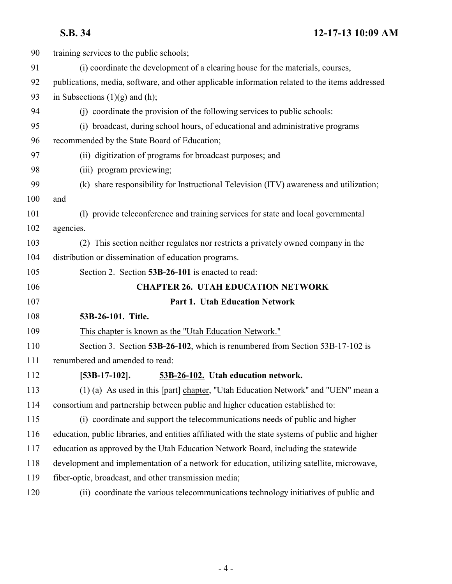<span id="page-3-1"></span><span id="page-3-0"></span>

| 90  | training services to the public schools;                                                         |
|-----|--------------------------------------------------------------------------------------------------|
| 91  | (i) coordinate the development of a clearing house for the materials, courses,                   |
| 92  | publications, media, software, and other applicable information related to the items addressed   |
| 93  | in Subsections $(1)(g)$ and $(h)$ ;                                                              |
| 94  | (i) coordinate the provision of the following services to public schools:                        |
| 95  | (i) broadcast, during school hours, of educational and administrative programs                   |
| 96  | recommended by the State Board of Education;                                                     |
| 97  | (ii) digitization of programs for broadcast purposes; and                                        |
| 98  | (iii) program previewing;                                                                        |
| 99  | (k) share responsibility for Instructional Television (ITV) awareness and utilization;           |
| 100 | and                                                                                              |
| 101 | (1) provide teleconference and training services for state and local governmental                |
| 102 | agencies.                                                                                        |
| 103 | (2) This section neither regulates nor restricts a privately owned company in the                |
| 104 | distribution or dissemination of education programs.                                             |
| 105 | Section 2. Section 53B-26-101 is enacted to read:                                                |
| 106 | <b>CHAPTER 26. UTAH EDUCATION NETWORK</b>                                                        |
| 107 | Part 1. Utah Education Network                                                                   |
| 108 | 53B-26-101. Title.                                                                               |
| 109 | This chapter is known as the "Utah Education Network."                                           |
| 110 | Section 3. Section 53B-26-102, which is renumbered from Section 53B-17-102 is                    |
| 111 | renumbered and amended to read:                                                                  |
| 112 | 53B-26-102. Utah education network.<br>$[53B-17-102]$ .                                          |
| 113 | (1) (a) As used in this $[part]$ chapter, "Utah Education Network" and "UEN" mean a              |
| 114 | consortium and partnership between public and higher education established to:                   |
| 115 | (i) coordinate and support the telecommunications needs of public and higher                     |
| 116 | education, public libraries, and entities affiliated with the state systems of public and higher |
| 117 | education as approved by the Utah Education Network Board, including the statewide               |
| 118 | development and implementation of a network for education, utilizing satellite, microwave,       |
| 119 | fiber-optic, broadcast, and other transmission media;                                            |
| 120 | (ii) coordinate the various telecommunications technology initiatives of public and              |
|     |                                                                                                  |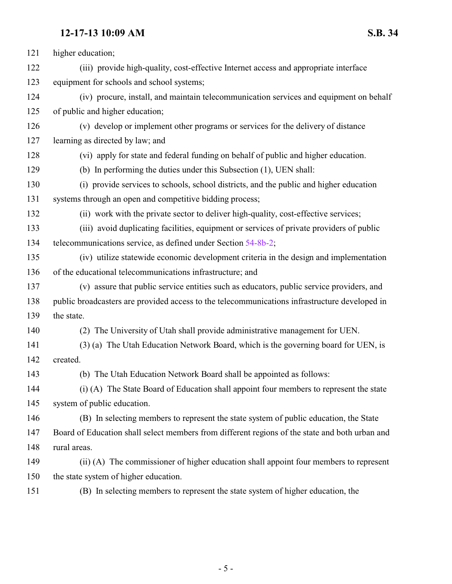| 121 | higher education;                                                                              |
|-----|------------------------------------------------------------------------------------------------|
| 122 | (iii) provide high-quality, cost-effective Internet access and appropriate interface           |
| 123 | equipment for schools and school systems;                                                      |
| 124 | (iv) procure, install, and maintain telecommunication services and equipment on behalf         |
| 125 | of public and higher education;                                                                |
| 126 | (v) develop or implement other programs or services for the delivery of distance               |
| 127 | learning as directed by law; and                                                               |
| 128 | (vi) apply for state and federal funding on behalf of public and higher education.             |
| 129 | (b) In performing the duties under this Subsection (1), UEN shall:                             |
| 130 | (i) provide services to schools, school districts, and the public and higher education         |
| 131 | systems through an open and competitive bidding process;                                       |
| 132 | (ii) work with the private sector to deliver high-quality, cost-effective services;            |
| 133 | (iii) avoid duplicating facilities, equipment or services of private providers of public       |
| 134 | telecommunications service, as defined under Section 54-8b-2;                                  |
| 135 | (iv) utilize statewide economic development criteria in the design and implementation          |
| 136 | of the educational telecommunications infrastructure; and                                      |
| 137 | (v) assure that public service entities such as educators, public service providers, and       |
| 138 | public broadcasters are provided access to the telecommunications infrastructure developed in  |
| 139 | the state.                                                                                     |
| 140 | (2) The University of Utah shall provide administrative management for UEN.                    |
| 141 | (3) (a) The Utah Education Network Board, which is the governing board for UEN, is             |
| 142 | created.                                                                                       |
| 143 | (b) The Utah Education Network Board shall be appointed as follows:                            |
| 144 | (i) (A) The State Board of Education shall appoint four members to represent the state         |
| 145 | system of public education.                                                                    |
| 146 | (B) In selecting members to represent the state system of public education, the State          |
| 147 | Board of Education shall select members from different regions of the state and both urban and |
| 148 | rural areas.                                                                                   |
| 149 | (ii) (A) The commissioner of higher education shall appoint four members to represent          |
| 150 | the state system of higher education.                                                          |
| 151 | (B) In selecting members to represent the state system of higher education, the                |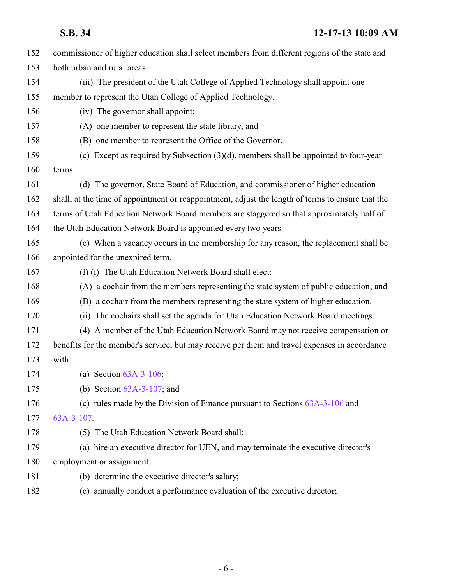| 152 | commissioner of higher education shall select members from different regions of the state and     |
|-----|---------------------------------------------------------------------------------------------------|
| 153 | both urban and rural areas.                                                                       |
| 154 | (iii) The president of the Utah College of Applied Technology shall appoint one                   |
| 155 | member to represent the Utah College of Applied Technology.                                       |
| 156 | (iv) The governor shall appoint:                                                                  |
| 157 | (A) one member to represent the state library; and                                                |
| 158 | (B) one member to represent the Office of the Governor.                                           |
| 159 | (c) Except as required by Subsection $(3)(d)$ , members shall be appointed to four-year           |
| 160 | terms.                                                                                            |
| 161 | (d) The governor, State Board of Education, and commissioner of higher education                  |
| 162 | shall, at the time of appointment or reappointment, adjust the length of terms to ensure that the |
| 163 | terms of Utah Education Network Board members are staggered so that approximately half of         |
| 164 | the Utah Education Network Board is appointed every two years.                                    |
| 165 | (e) When a vacancy occurs in the membership for any reason, the replacement shall be              |
| 166 | appointed for the unexpired term.                                                                 |
| 167 | (f) (i) The Utah Education Network Board shall elect:                                             |
| 168 | (A) a cochair from the members representing the state system of public education; and             |
| 169 | (B) a cochair from the members representing the state system of higher education.                 |
| 170 | (ii) The cochairs shall set the agenda for Utah Education Network Board meetings.                 |
| 171 | (4) A member of the Utah Education Network Board may not receive compensation or                  |
| 172 | benefits for the member's service, but may receive per diem and travel expenses in accordance     |
| 173 | with:                                                                                             |
| 174 | (a) Section $63A-3-106$ ;                                                                         |
| 175 | (b) Section $63A-3-107$ ; and                                                                     |
| 176 | (c) rules made by the Division of Finance pursuant to Sections $63A-3-106$ and                    |
| 177 | 63A-3-107                                                                                         |
| 178 | (5) The Utah Education Network Board shall:                                                       |
| 179 | (a) hire an executive director for UEN, and may terminate the executive director's                |
| 180 | employment or assignment;                                                                         |
| 181 | (b) determine the executive director's salary;                                                    |
| 182 | (c) annually conduct a performance evaluation of the executive director;                          |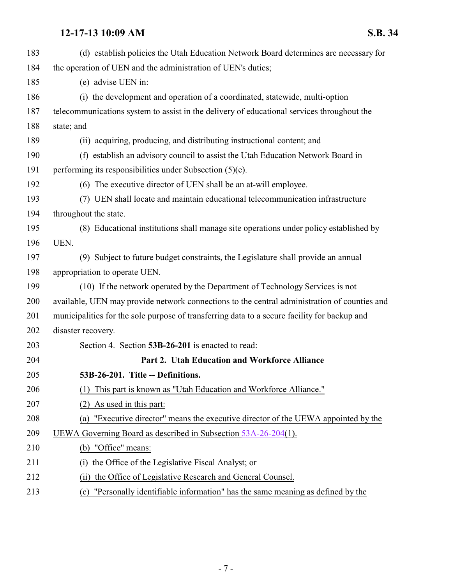<span id="page-6-0"></span>

| 183 | (d) establish policies the Utah Education Network Board determines are necessary for         |
|-----|----------------------------------------------------------------------------------------------|
| 184 | the operation of UEN and the administration of UEN's duties;                                 |
| 185 | (e) advise UEN in:                                                                           |
| 186 | (i) the development and operation of a coordinated, statewide, multi-option                  |
| 187 | telecommunications system to assist in the delivery of educational services throughout the   |
| 188 | state; and                                                                                   |
| 189 | (ii) acquiring, producing, and distributing instructional content; and                       |
| 190 | (f) establish an advisory council to assist the Utah Education Network Board in              |
| 191 | performing its responsibilities under Subsection $(5)(e)$ .                                  |
| 192 | (6) The executive director of UEN shall be an at-will employee.                              |
| 193 | (7) UEN shall locate and maintain educational telecommunication infrastructure               |
| 194 | throughout the state.                                                                        |
| 195 | (8) Educational institutions shall manage site operations under policy established by        |
| 196 | UEN.                                                                                         |
| 197 | (9) Subject to future budget constraints, the Legislature shall provide an annual            |
| 198 | appropriation to operate UEN.                                                                |
| 199 | (10) If the network operated by the Department of Technology Services is not                 |
| 200 | available, UEN may provide network connections to the central administration of counties and |
| 201 | municipalities for the sole purpose of transferring data to a secure facility for backup and |
| 202 | disaster recovery.                                                                           |
| 203 | Section 4. Section 53B-26-201 is enacted to read:                                            |
| 204 | Part 2. Utah Education and Workforce Alliance                                                |
| 205 | 53B-26-201. Title -- Definitions.                                                            |
| 206 | This part is known as "Utah Education and Workforce Alliance."<br>(1)                        |
| 207 | As used in this part:<br>(2)                                                                 |
| 208 | "Executive director" means the executive director of the UEWA appointed by the<br>(a)        |
| 209 | UEWA Governing Board as described in Subsection 53A-26-204(1).                               |
| 210 | (b) "Office" means:                                                                          |
| 211 | the Office of the Legislative Fiscal Analyst; or<br>(1)                                      |
| 212 | the Office of Legislative Research and General Counsel.<br>(ii)                              |
| 213 | "Personally identifiable information" has the same meaning as defined by the<br>(c)          |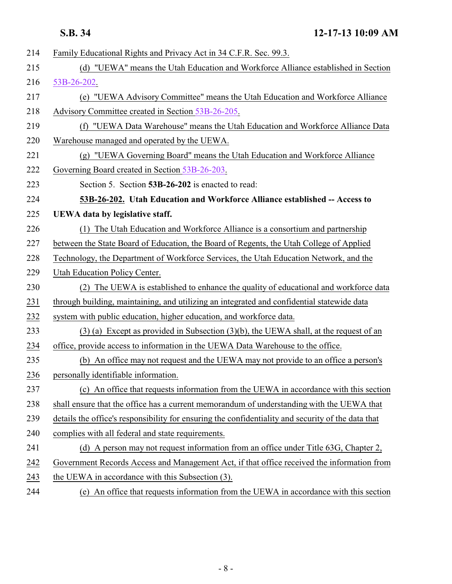<span id="page-7-0"></span>

| 214 | Family Educational Rights and Privacy Act in 34 C.F.R. Sec. 99.3.                                  |
|-----|----------------------------------------------------------------------------------------------------|
| 215 | (d) "UEWA" means the Utah Education and Workforce Alliance established in Section                  |
| 216 | 53B-26-202.                                                                                        |
| 217 | (e) "UEWA Advisory Committee" means the Utah Education and Workforce Alliance                      |
| 218 | Advisory Committee created in Section 53B-26-205.                                                  |
| 219 | (f) "UEWA Data Warehouse" means the Utah Education and Workforce Alliance Data                     |
| 220 | Warehouse managed and operated by the UEWA.                                                        |
| 221 | (g) "UEWA Governing Board" means the Utah Education and Workforce Alliance                         |
| 222 | Governing Board created in Section 53B-26-203.                                                     |
| 223 | Section 5. Section 53B-26-202 is enacted to read:                                                  |
| 224 | 53B-26-202. Utah Education and Workforce Alliance established -- Access to                         |
| 225 | UEWA data by legislative staff.                                                                    |
| 226 | (1) The Utah Education and Workforce Alliance is a consortium and partnership                      |
| 227 | between the State Board of Education, the Board of Regents, the Utah College of Applied            |
| 228 | Technology, the Department of Workforce Services, the Utah Education Network, and the              |
| 229 | Utah Education Policy Center.                                                                      |
| 230 | (2) The UEWA is established to enhance the quality of educational and workforce data               |
| 231 | through building, maintaining, and utilizing an integrated and confidential statewide data         |
| 232 | system with public education, higher education, and workforce data.                                |
| 233 | $(3)$ (a) Except as provided in Subsection $(3)(b)$ , the UEWA shall, at the request of an         |
| 234 | office, provide access to information in the UEWA Data Warehouse to the office.                    |
| 235 | (b) An office may not request and the UEWA may not provide to an office a person's                 |
| 236 | personally identifiable information                                                                |
| 237 | (c) An office that requests information from the UEWA in accordance with this section              |
| 238 | shall ensure that the office has a current memorandum of understanding with the UEWA that          |
| 239 | details the office's responsibility for ensuring the confidentiality and security of the data that |
| 240 | complies with all federal and state requirements.                                                  |
| 241 | (d) A person may not request information from an office under Title 63G, Chapter 2,                |
| 242 | Government Records Access and Management Act, if that office received the information from         |
| 243 | the UEWA in accordance with this Subsection (3).                                                   |
| 244 | (e) An office that requests information from the UEWA in accordance with this section              |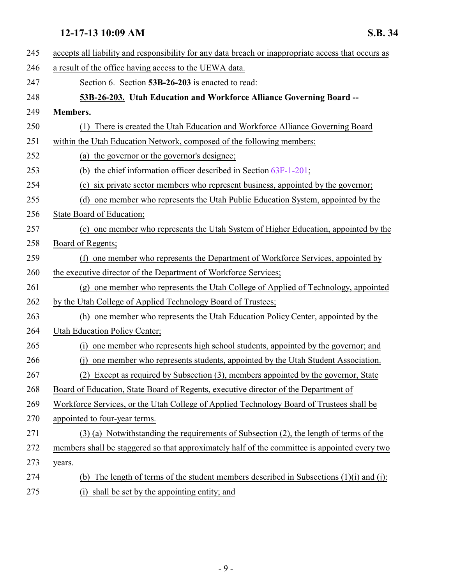<span id="page-8-0"></span>

| 245 | accepts all liability and responsibility for any data breach or inappropriate access that occurs as |
|-----|-----------------------------------------------------------------------------------------------------|
| 246 | a result of the office having access to the UEWA data.                                              |
| 247 | Section 6. Section 53B-26-203 is enacted to read:                                                   |
| 248 | 53B-26-203. Utah Education and Workforce Alliance Governing Board --                                |
| 249 | <b>Members.</b>                                                                                     |
| 250 | (1) There is created the Utah Education and Workforce Alliance Governing Board                      |
| 251 | within the Utah Education Network, composed of the following members:                               |
| 252 | (a) the governor or the governor's designee;                                                        |
| 253 | (b) the chief information officer described in Section $63F-1-201$ ;                                |
| 254 | (c) six private sector members who represent business, appointed by the governor;                   |
| 255 | (d) one member who represents the Utah Public Education System, appointed by the                    |
| 256 | State Board of Education;                                                                           |
| 257 | (e) one member who represents the Utah System of Higher Education, appointed by the                 |
| 258 | Board of Regents;                                                                                   |
| 259 | (f) one member who represents the Department of Workforce Services, appointed by                    |
| 260 | the executive director of the Department of Workforce Services;                                     |
| 261 | (g) one member who represents the Utah College of Applied of Technology, appointed                  |
| 262 | by the Utah College of Applied Technology Board of Trustees;                                        |
| 263 | (h) one member who represents the Utah Education Policy Center, appointed by the                    |
| 264 | Utah Education Policy Center;                                                                       |
| 265 | one member who represents high school students, appointed by the governor; and<br>(i)               |
| 266 | one member who represents students, appointed by the Utah Student Association.<br>(i)               |
| 267 | (2) Except as required by Subsection (3), members appointed by the governor, State                  |
| 268 | Board of Education, State Board of Regents, executive director of the Department of                 |
| 269 | Workforce Services, or the Utah College of Applied Technology Board of Trustees shall be            |
| 270 | appointed to four-year terms.                                                                       |
| 271 | (3) (a) Notwithstanding the requirements of Subsection (2), the length of terms of the              |
| 272 | members shall be staggered so that approximately half of the committee is appointed every two       |
| 273 | years.                                                                                              |
| 274 | The length of terms of the student members described in Subsections $(1)(i)$ and $(i)$ :<br>(b)     |
| 275 | shall be set by the appointing entity; and<br>(i)                                                   |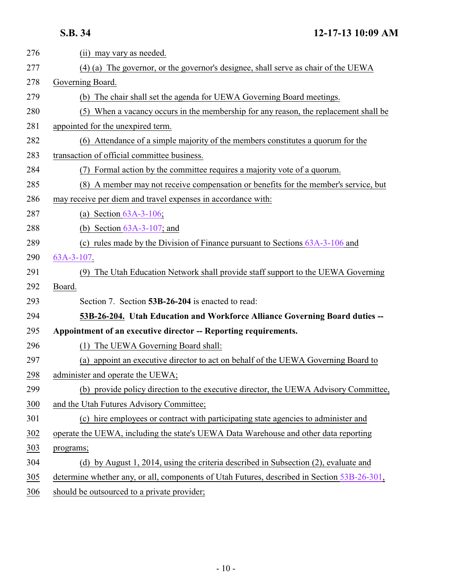<span id="page-9-0"></span>

| 276 | (ii) may vary as needed.                                                                    |
|-----|---------------------------------------------------------------------------------------------|
| 277 | (4) (a) The governor, or the governor's designee, shall serve as chair of the UEWA          |
| 278 | Governing Board.                                                                            |
| 279 | (b) The chair shall set the agenda for UEWA Governing Board meetings.                       |
| 280 | (5) When a vacancy occurs in the membership for any reason, the replacement shall be        |
| 281 | appointed for the unexpired term.                                                           |
| 282 | (6) Attendance of a simple majority of the members constitutes a quorum for the             |
| 283 | transaction of official committee business.                                                 |
| 284 | Formal action by the committee requires a majority vote of a quorum.                        |
| 285 | (8) A member may not receive compensation or benefits for the member's service, but         |
| 286 | may receive per diem and travel expenses in accordance with:                                |
| 287 | (a) Section $63A-3-106$ ;                                                                   |
| 288 | (b) Section $63A-3-107$ ; and                                                               |
| 289 | (c) rules made by the Division of Finance pursuant to Sections $63A-3-106$ and              |
| 290 | $63A-3-107$ .                                                                               |
| 291 | (9) The Utah Education Network shall provide staff support to the UEWA Governing            |
| 292 | Board.                                                                                      |
| 293 | Section 7. Section 53B-26-204 is enacted to read:                                           |
| 294 | 53B-26-204. Utah Education and Workforce Alliance Governing Board duties --                 |
| 295 | Appointment of an executive director -- Reporting requirements.                             |
| 296 | The UEWA Governing Board shall:<br>(1)                                                      |
| 297 | (a) appoint an executive director to act on behalf of the UEWA Governing Board to           |
| 298 | administer and operate the UEWA;                                                            |
| 299 | (b) provide policy direction to the executive director, the UEWA Advisory Committee,        |
| 300 | and the Utah Futures Advisory Committee;                                                    |
| 301 | (c) hire employees or contract with participating state agencies to administer and          |
| 302 | operate the UEWA, including the state's UEWA Data Warehouse and other data reporting        |
| 303 | programs;                                                                                   |
| 304 | (d) by August 1, 2014, using the criteria described in Subsection (2), evaluate and         |
| 305 | determine whether any, or all, components of Utah Futures, described in Section 53B-26-301, |
| 306 | should be outsourced to a private provider;                                                 |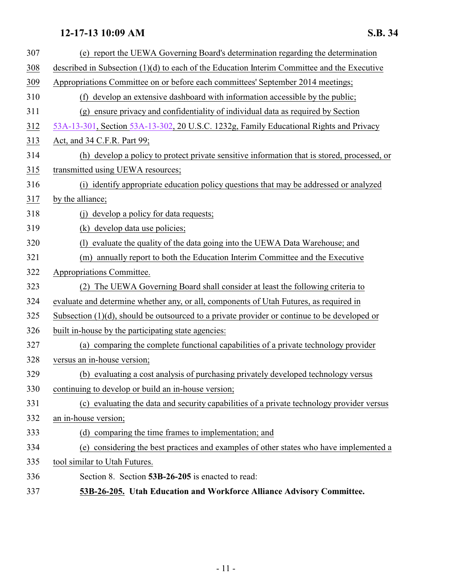<span id="page-10-0"></span>

| 307        | (e) report the UEWA Governing Board's determination regarding the determination                 |
|------------|-------------------------------------------------------------------------------------------------|
| <u>308</u> | described in Subsection (1)(d) to each of the Education Interim Committee and the Executive     |
| <u>309</u> | Appropriations Committee on or before each committees' September 2014 meetings;                 |
| 310        | (f) develop an extensive dashboard with information accessible by the public;                   |
| 311        | (g) ensure privacy and confidentiality of individual data as required by Section                |
| 312        | 53A-13-301, Section 53A-13-302, 20 U.S.C. 1232g, Family Educational Rights and Privacy          |
| <u>313</u> | Act, and 34 C.F.R. Part 99;                                                                     |
| 314        | (h) develop a policy to protect private sensitive information that is stored, processed, or     |
| 315        | transmitted using UEWA resources;                                                               |
| 316        | (i) identify appropriate education policy questions that may be addressed or analyzed           |
| 317        | by the alliance;                                                                                |
| 318        | develop a policy for data requests;<br>(i)                                                      |
| 319        | (k) develop data use policies;                                                                  |
| 320        | evaluate the quality of the data going into the UEWA Data Warehouse; and<br>(1)                 |
| 321        | annually report to both the Education Interim Committee and the Executive<br>(m)                |
| 322        | Appropriations Committee.                                                                       |
| 323        | The UEWA Governing Board shall consider at least the following criteria to                      |
| 324        | evaluate and determine whether any, or all, components of Utah Futures, as required in          |
| 325        | Subsection $(1)(d)$ , should be outsourced to a private provider or continue to be developed or |
| 326        | built in-house by the participating state agencies:                                             |
| 327        | (a) comparing the complete functional capabilities of a private technology provider             |
| 328        | versus an in-house version;                                                                     |
| 329        | (b) evaluating a cost analysis of purchasing privately developed technology versus              |
| 330        | continuing to develop or build an in-house version;                                             |
| 331        | (c) evaluating the data and security capabilities of a private technology provider versus       |
| 332        | an in-house version;                                                                            |
| 333        | (d) comparing the time frames to implementation; and                                            |
| 334        | considering the best practices and examples of other states who have implemented a<br>(e)       |
| 335        | tool similar to Utah Futures.                                                                   |
| 336        | Section 8. Section 53B-26-205 is enacted to read:                                               |
| 337        | 53B-26-205. Utah Education and Workforce Alliance Advisory Committee.                           |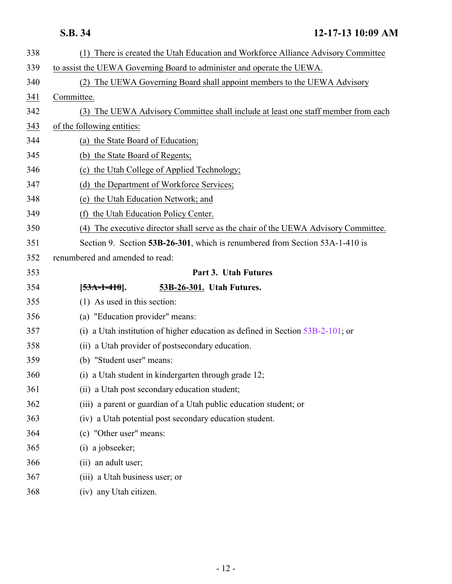<span id="page-11-0"></span>

| 338 | (1) There is created the Utah Education and Workforce Alliance Advisory Committee      |
|-----|----------------------------------------------------------------------------------------|
| 339 | to assist the UEWA Governing Board to administer and operate the UEWA.                 |
| 340 | The UEWA Governing Board shall appoint members to the UEWA Advisory<br>(2)             |
| 341 | Committee.                                                                             |
| 342 | (3) The UEWA Advisory Committee shall include at least one staff member from each      |
| 343 | of the following entities:                                                             |
| 344 | (a) the State Board of Education;                                                      |
| 345 | (b) the State Board of Regents;                                                        |
| 346 | (c) the Utah College of Applied Technology;                                            |
| 347 | the Department of Workforce Services;<br>(d)                                           |
| 348 | (e) the Utah Education Network; and                                                    |
| 349 | the Utah Education Policy Center.<br>(f)                                               |
| 350 | The executive director shall serve as the chair of the UEWA Advisory Committee.<br>(4) |
| 351 | Section 9. Section 53B-26-301, which is renumbered from Section 53A-1-410 is           |
| 352 | renumbered and amended to read:                                                        |
| 353 | Part 3. Utah Futures                                                                   |
|     |                                                                                        |
| 354 | 53B-26-301. Utah Futures.<br>$[53A-1-410]$ .                                           |
| 355 | $(1)$ As used in this section:                                                         |
| 356 | (a) "Education provider" means:                                                        |
| 357 | a Utah institution of higher education as defined in Section 53B-2-101; or<br>(i)      |
| 358 | (ii) a Utah provider of postsecondary education.                                       |
| 359 | (b) "Student user" means:                                                              |
| 360 | (i) a Utah student in kindergarten through grade 12;                                   |
| 361 | (ii) a Utah post secondary education student;                                          |
| 362 | (iii) a parent or guardian of a Utah public education student; or                      |
| 363 | (iv) a Utah potential post secondary education student.                                |
| 364 | (c) "Other user" means:                                                                |
| 365 | (i) a jobseeker;                                                                       |
| 366 | (ii) an adult user;                                                                    |
| 367 | (iii) a Utah business user; or                                                         |
| 368 | (iv) any Utah citizen.                                                                 |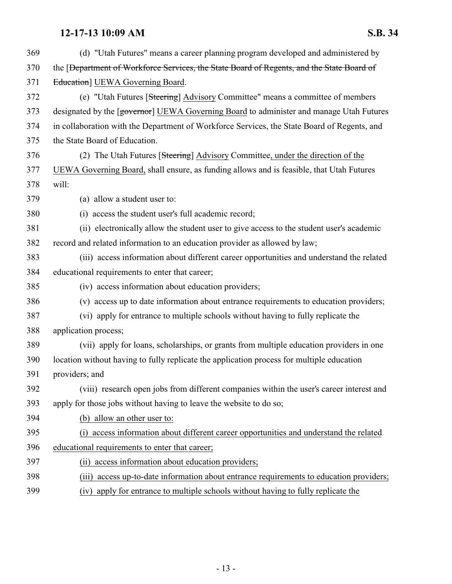| 369 | (d) "Utah Futures" means a career planning program developed and administered by                      |
|-----|-------------------------------------------------------------------------------------------------------|
| 370 | the [ <del>Department of Workforce Services, the State Board of Regents, and the State Board of</del> |
| 371 | Education] UEWA Governing Board.                                                                      |
| 372 | (e) "Utah Futures [Steering] Advisory Committee" means a committee of members                         |
| 373 | designated by the [governor] UEWA Governing Board to administer and manage Utah Futures               |
| 374 | in collaboration with the Department of Workforce Services, the State Board of Regents, and           |
| 375 | the State Board of Education.                                                                         |
| 376 | (2) The Utah Futures [Steering] Advisory Committee, under the direction of the                        |
| 377 | UEWA Governing Board, shall ensure, as funding allows and is feasible, that Utah Futures              |
| 378 | will:                                                                                                 |
| 379 | (a) allow a student user to:                                                                          |
| 380 | (i) access the student user's full academic record;                                                   |
| 381 | (ii) electronically allow the student user to give access to the student user's academic              |
| 382 | record and related information to an education provider as allowed by law;                            |
| 383 | (iii) access information about different career opportunities and understand the related              |
| 384 | educational requirements to enter that career;                                                        |
| 385 | (iv) access information about education providers;                                                    |
| 386 | (v) access up to date information about entrance requirements to education providers;                 |
| 387 | (vi) apply for entrance to multiple schools without having to fully replicate the                     |
| 388 | application process;                                                                                  |
| 389 | (vii) apply for loans, scholarships, or grants from multiple education providers in one               |
| 390 | location without having to fully replicate the application process for multiple education             |
| 391 | providers; and                                                                                        |
| 392 | (viii) research open jobs from different companies within the user's career interest and              |
| 393 | apply for those jobs without having to leave the website to do so;                                    |
| 394 | (b) allow an other user to:                                                                           |
| 395 | access information about different career opportunities and understand the related<br>(i)             |
| 396 | educational requirements to enter that career;                                                        |
| 397 | (ii) access information about education providers;                                                    |
| 398 | (iii) access up-to-date information about entrance requirements to education providers;               |
| 200 | (iv) quality for outgoings to quilting solve also vitages howing to fully gention to the              |

(iv) apply for entrance to multiple schools without having to fully replicate the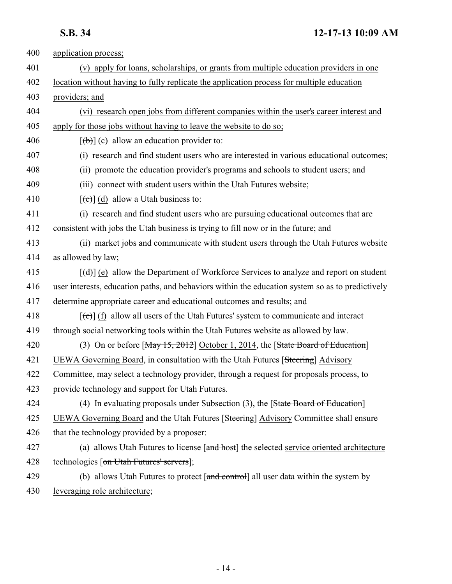| 400 | application process;                                                                                  |
|-----|-------------------------------------------------------------------------------------------------------|
| 401 | (v) apply for loans, scholarships, or grants from multiple education providers in one                 |
| 402 | location without having to fully replicate the application process for multiple education             |
| 403 | providers; and                                                                                        |
| 404 | (vi) research open jobs from different companies within the user's career interest and                |
| 405 | apply for those jobs without having to leave the website to do so;                                    |
| 406 | $[\theta$ ) (c) allow an education provider to:                                                       |
| 407 | (i) research and find student users who are interested in various educational outcomes;               |
| 408 | (ii) promote the education provider's programs and schools to student users; and                      |
| 409 | (iii) connect with student users within the Utah Futures website;                                     |
| 410 | $[\text{e}(\text{e})]$ (d) allow a Utah business to:                                                  |
| 411 | (i) research and find student users who are pursuing educational outcomes that are                    |
| 412 | consistent with jobs the Utah business is trying to fill now or in the future; and                    |
| 413 | (ii) market jobs and communicate with student users through the Utah Futures website                  |
| 414 | as allowed by law;                                                                                    |
| 415 | $[\text{(\text{d})}]$ (e) allow the Department of Workforce Services to analyze and report on student |
| 416 | user interests, education paths, and behaviors within the education system so as to predictively      |
| 417 | determine appropriate career and educational outcomes and results; and                                |
| 418 | $[\text{(\texttt{e})}]$ (f) allow all users of the Utah Futures' system to communicate and interact   |
| 419 | through social networking tools within the Utah Futures website as allowed by law.                    |
| 420 | (3) On or before [May 15, 2012] October 1, 2014, the [State Board of Education]                       |
| 421 | UEWA Governing Board, in consultation with the Utah Futures [Steering] Advisory                       |
| 422 | Committee, may select a technology provider, through a request for proposals process, to              |
| 423 | provide technology and support for Utah Futures.                                                      |
| 424 | (4) In evaluating proposals under Subsection $(3)$ , the [State Board of Education]                   |
| 425 | UEWA Governing Board and the Utah Futures [Steering] Advisory Committee shall ensure                  |
| 426 | that the technology provided by a proposer:                                                           |
| 427 | (a) allows Utah Futures to license [and host] the selected service oriented architecture              |
| 428 | technologies [on Utah Futures' servers];                                                              |
| 429 | (b) allows Utah Futures to protect [and control] all user data within the system by                   |
| 430 | leveraging role architecture;                                                                         |